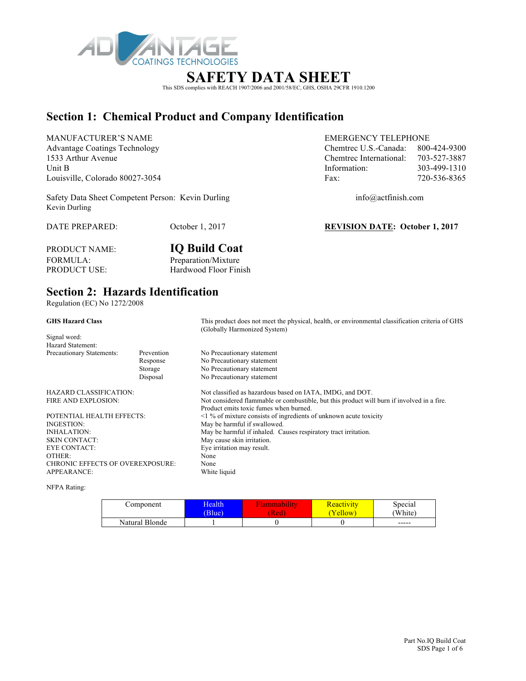

### **SAFETY DATA SHEET**

This SDS complies with REACH 1907/2006 and 2001/58/EC, GHS, OSHA 29CFR 1910.1200

### **Section 1: Chemical Product and Company Identification**

MANUFACTURER'S NAME EMERGENCY TELEPHONE Advantage Coatings Technology Chemtrec U.S.-Canada: 800-424-9300 1533 Arthur Avenue Chemtrec International: 703-527-3887 Unit B 103-499-1310 Louisville, Colorado 80027-3054 Fax: 720-536-8365

Safety Data Sheet Competent Person: Kevin Durling info@actfinish.com Kevin Durling

DATE PREPARED: October 1, 2017 **REVISION DATE: October 1, 2017**

PRODUCT NAME: **IQ Build Coat** FORMULA: Preparation/Mixture<br>
PRODUCT USE: Hardwood Floor Fin Hardwood Floor Finish

### **Section 2: Hazards Identification**

Regulation (EC) No 1272/2008

|                                  | This product does not meet the physical, health, or environmental classification criteria of GHS<br>(Globally Harmonized System) |
|----------------------------------|----------------------------------------------------------------------------------------------------------------------------------|
|                                  |                                                                                                                                  |
|                                  |                                                                                                                                  |
| Prevention                       | No Precautionary statement                                                                                                       |
| Response                         | No Precautionary statement                                                                                                       |
| Storage                          | No Precautionary statement                                                                                                       |
| Disposal                         | No Precautionary statement                                                                                                       |
| HAZARD CLASSIFICATION:           | Not classified as hazardous based on IATA, IMDG, and DOT.                                                                        |
|                                  | Not considered flammable or combustible, but this product will burn if involved in a fire.                                       |
|                                  | Product emits toxic fumes when burned.                                                                                           |
| POTENTIAL HEALTH EFFECTS:        | $\leq$ 1 % of mixture consists of ingredients of unknown acute toxicity                                                          |
|                                  | May be harmful if swallowed.                                                                                                     |
|                                  | May be harmful if inhaled. Causes respiratory tract irritation.                                                                  |
|                                  | May cause skin irritation.                                                                                                       |
|                                  | Eye irritation may result.                                                                                                       |
|                                  | None                                                                                                                             |
| CHRONIC EFFECTS OF OVEREXPOSURE: | None                                                                                                                             |
|                                  | White liquid                                                                                                                     |
|                                  |                                                                                                                                  |

NFPA Rating:

| Component      | <b>Health</b><br>(Blue) | [Red | <u> Keactivity</u><br>'ellow | Special<br>'White)        |
|----------------|-------------------------|------|------------------------------|---------------------------|
| Natural Blonde |                         |      |                              | $\qquad \qquad - - - - -$ |

 Part No.IQ Build Coat SDS Page 1 of 6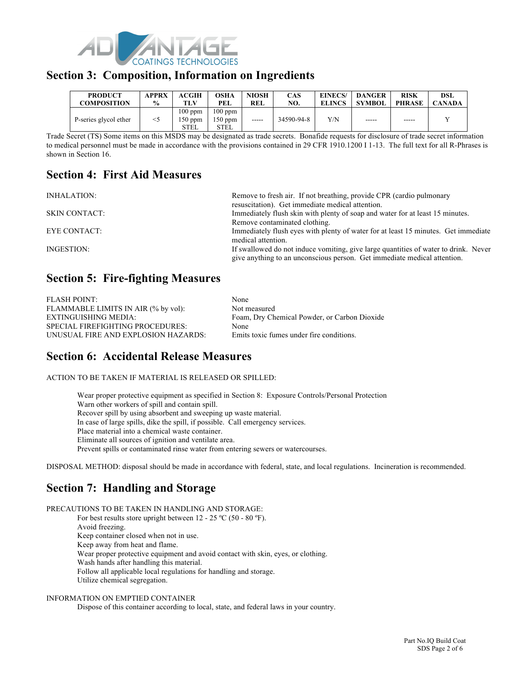

### **Section 3: Composition, Information on Ingredients**

| <b>PRODUCT</b>        | <b>APPRX</b>  | <b>ACGIH</b>                 | OSHA                           | <b>NIOSH</b> | <b>CAS</b> | EINECS/       | <b>DANGER</b> | <b>RISK</b>   | DSL           |
|-----------------------|---------------|------------------------------|--------------------------------|--------------|------------|---------------|---------------|---------------|---------------|
| <b>COMPOSITION</b>    | $\frac{6}{9}$ | TLV                          | PEL                            | <b>REL</b>   | NO.        | <b>ELINCS</b> | <b>SYMBOL</b> | <b>PHRASE</b> | <b>CANADA</b> |
| P-series glycol ether | $<$ 5         | $100$ ppm<br>150 ppm<br>STEL | $100$ ppm<br>$150$ ppm<br>STEL | -----        | 34590-94-8 | Y/N           | -----         | -----         |               |

Trade Secret (TS) Some items on this MSDS may be designated as trade secrets. Bonafide requests for disclosure of trade secret information to medical personnel must be made in accordance with the provisions contained in 29 CFR 1910.1200 I 1-13. The full text for all R-Phrases is shown in Section 16.

### **Section 4: First Aid Measures**

INHALATION: Remove to fresh air. If not breathing, provide CPR (cardio pulmonary

resuscitation). Get immediate medical attention. SKIN CONTACT: Immediately flush skin with plenty of soap and water for at least 15 minutes. Remove contaminated clothing. EYE CONTACT: Immediately flush eyes with plenty of water for at least 15 minutes. Get immediate medical attention. INGESTION: If swallowed do not induce vomiting, give large quantities of water to drink. Never give anything to an unconscious person. Get immediate medical attention.

### **Section 5: Fire-fighting Measures**

| <b>FLASH POINT:</b>                     | None                                         |
|-----------------------------------------|----------------------------------------------|
| FLAMMABLE LIMITS IN AIR (% by vol):     | Not measured                                 |
| EXTINGUISHING MEDIA:                    | Foam, Dry Chemical Powder, or Carbon Dioxide |
| <b>SPECIAL FIREFIGHTING PROCEDURES:</b> | None                                         |
| UNUSUAL FIRE AND EXPLOSION HAZARDS:     | Emits toxic fumes under fire conditions.     |

## **Section 6: Accidental Release Measures**

ACTION TO BE TAKEN IF MATERIAL IS RELEASED OR SPILLED:

Wear proper protective equipment as specified in Section 8: Exposure Controls/Personal Protection Warn other workers of spill and contain spill. Recover spill by using absorbent and sweeping up waste material. In case of large spills, dike the spill, if possible. Call emergency services. Place material into a chemical waste container. Eliminate all sources of ignition and ventilate area. Prevent spills or contaminated rinse water from entering sewers or watercourses.

DISPOSAL METHOD: disposal should be made in accordance with federal, state, and local regulations. Incineration is recommended.

# **Section 7: Handling and Storage**

PRECAUTIONS TO BE TAKEN IN HANDLING AND STORAGE: For best results store upright between  $12 - 25$  °C (50 - 80 °F). Avoid freezing. Keep container closed when not in use. Keep away from heat and flame. Wear proper protective equipment and avoid contact with skin, eyes, or clothing. Wash hands after handling this material. Follow all applicable local regulations for handling and storage. Utilize chemical segregation.

#### INFORMATION ON EMPTIED CONTAINER

Dispose of this container according to local, state, and federal laws in your country.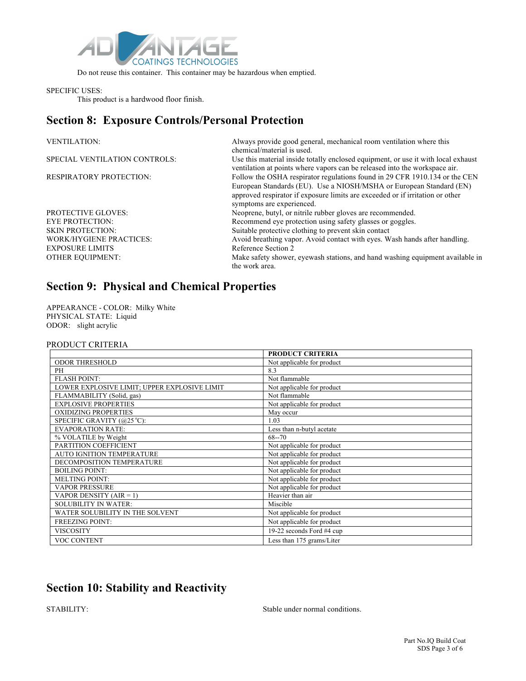

Do not reuse this container. This container may be hazardous when emptied.

#### SPECIFIC USES:

This product is a hardwood floor finish.

### **Section 8: Exposure Controls/Personal Protection**

| <b>VENTILATION:</b>            | Always provide good general, mechanical room ventilation where this<br>chemical/material is used.                                                                                                                                                               |
|--------------------------------|-----------------------------------------------------------------------------------------------------------------------------------------------------------------------------------------------------------------------------------------------------------------|
| SPECIAL VENTILATION CONTROLS:  | Use this material inside totally enclosed equipment, or use it with local exhaust<br>ventilation at points where vapors can be released into the workspace air.                                                                                                 |
| <b>RESPIRATORY PROTECTION:</b> | Follow the OSHA respirator regulations found in 29 CFR 1910.134 or the CEN<br>European Standards (EU). Use a NIOSH/MSHA or European Standard (EN)<br>approved respirator if exposure limits are exceeded or if irritation or other<br>symptoms are experienced. |
| <b>PROTECTIVE GLOVES:</b>      | Neoprene, butyl, or nitrile rubber gloves are recommended.                                                                                                                                                                                                      |
| <b>EYE PROTECTION:</b>         | Recommend eye protection using safety glasses or goggles.                                                                                                                                                                                                       |
| <b>SKIN PROTECTION:</b>        | Suitable protective clothing to prevent skin contact                                                                                                                                                                                                            |
| <b>WORK/HYGIENE PRACTICES:</b> | Avoid breathing vapor. Avoid contact with eyes. Wash hands after handling.                                                                                                                                                                                      |
| <b>EXPOSURE LIMITS</b>         | Reference Section 2                                                                                                                                                                                                                                             |
| <b>OTHER EQUIPMENT:</b>        | Make safety shower, eyewash stations, and hand washing equipment available in<br>the work area.                                                                                                                                                                 |

# **Section 9: Physical and Chemical Properties**

APPEARANCE - COLOR: Milky White PHYSICAL STATE: Liquid ODOR: slight acrylic

#### PRODUCT CRITERIA

|                                              | <b>PRODUCT CRITERIA</b>    |
|----------------------------------------------|----------------------------|
| <b>ODOR THRESHOLD</b>                        | Not applicable for product |
| PH                                           | 8.3                        |
| <b>FLASH POINT:</b>                          | Not flammable              |
| LOWER EXPLOSIVE LIMIT; UPPER EXPLOSIVE LIMIT | Not applicable for product |
| FLAMMABILITY (Solid, gas)                    | Not flammable              |
| <b>EXPLOSIVE PROPERTIES</b>                  | Not applicable for product |
| <b>OXIDIZING PROPERTIES</b>                  | May occur                  |
| SPECIFIC GRAVITY (@25 °C):                   | 1.03                       |
| <b>EVAPORATION RATE:</b>                     | Less than n-butyl acetate  |
| % VOLATILE by Weight                         | $68 - 70$                  |
| PARTITION COEFFICIENT                        | Not applicable for product |
| AUTO IGNITION TEMPERATURE                    | Not applicable for product |
| DECOMPOSITION TEMPERATURE                    | Not applicable for product |
| <b>BOILING POINT:</b>                        | Not applicable for product |
| <b>MELTING POINT:</b>                        | Not applicable for product |
| <b>VAPOR PRESSURE</b>                        | Not applicable for product |
| VAPOR DENSITY $(AIR = 1)$                    | Heavier than air           |
| <b>SOLUBILITY IN WATER:</b>                  | Miscible                   |
| WATER SOLUBILITY IN THE SOLVENT              | Not applicable for product |
| <b>FREEZING POINT:</b>                       | Not applicable for product |
| <b>VISCOSITY</b>                             | 19-22 seconds Ford #4 cup  |
| <b>VOC CONTENT</b>                           | Less than 175 grams/Liter  |

# **Section 10: Stability and Reactivity**

STABILITY: Stable under normal conditions.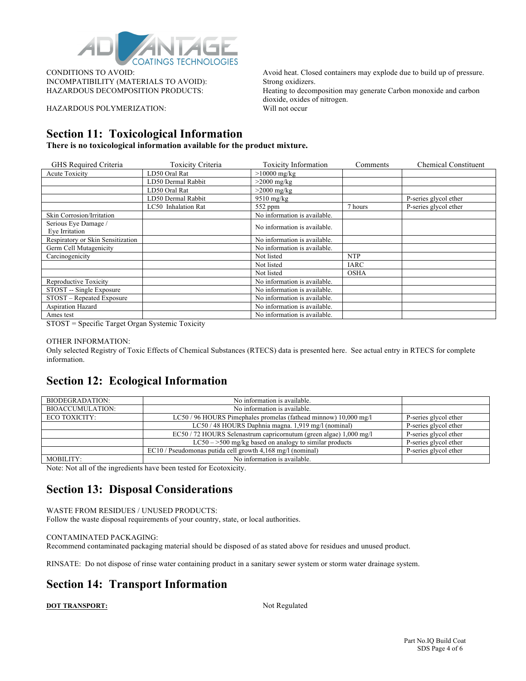

INCOMPATIBILITY (MATERIALS TO AVOID): Strong oxidizers.

HAZARDOUS POLYMERIZATION: Will not occur

CONDITIONS TO AVOID: Avoid heat. Closed containers may explode due to build up of pressure. HAZARDOUS DECOMPOSITION PRODUCTS: Heating to decomposition may generate Carbon monoxide and carbon dioxide, oxides of nitrogen.

### **Section 11: Toxicological Information**

**There is no toxicological information available for the product mixture.**

| GHS Required Criteria             | Toxicity Criteria   | <b>Toxicity Information</b>  | Comments    | <b>Chemical Constituent</b> |
|-----------------------------------|---------------------|------------------------------|-------------|-----------------------------|
| <b>Acute Toxicity</b>             | LD50 Oral Rat       | $>10000$ mg/kg               |             |                             |
|                                   | LD50 Dermal Rabbit  | $>2000$ mg/kg                |             |                             |
|                                   | LD50 Oral Rat       | $>2000$ mg/kg                |             |                             |
|                                   | LD50 Dermal Rabbit  | $9510$ mg/kg                 |             | P-series glycol ether       |
|                                   | LC50 Inhalation Rat | $552$ ppm                    | 7 hours     | P-series glycol ether       |
| Skin Corrosion/Irritation         |                     | No information is available. |             |                             |
| Serious Eye Damage /              |                     | No information is available. |             |                             |
| Eye Irritation                    |                     |                              |             |                             |
| Respiratory or Skin Sensitization |                     | No information is available. |             |                             |
| Germ Cell Mutagenicity            |                     | No information is available. |             |                             |
| Carcinogenicity                   |                     | Not listed                   | <b>NTP</b>  |                             |
|                                   |                     | Not listed                   | IARC        |                             |
|                                   |                     | Not listed                   | <b>OSHA</b> |                             |
| Reproductive Toxicity             |                     | No information is available. |             |                             |
| STOST -- Single Exposure          |                     | No information is available. |             |                             |
| STOST – Repeated Exposure         |                     | No information is available. |             |                             |
| Aspiration Hazard                 |                     | No information is available. |             |                             |
| Ames test                         |                     | No information is available. |             |                             |

STOST = Specific Target Organ Systemic Toxicity

#### OTHER INFORMATION:

Only selected Registry of Toxic Effects of Chemical Substances (RTECS) data is presented here. See actual entry in RTECS for complete information.

#### **Section 12: Ecological Information**

| BIODEGRADATION:         | No information is available.                                       |                       |
|-------------------------|--------------------------------------------------------------------|-----------------------|
| <b>BIOACCUMULATION:</b> | No information is available.                                       |                       |
| ECO TOXICITY:           | LC50/96 HOURS Pimephales promelas (fathead minnow) 10,000 mg/l     | P-series glycol ether |
|                         | LC50 / 48 HOURS Daphnia magna. 1,919 mg/l (nominal)                | P-series glycol ether |
|                         | EC50 / 72 HOURS Selenastrum capricornutum (green algae) 1,000 mg/l | P-series glycol ether |
|                         | $LC50 - >500$ mg/kg based on analogy to similar products           | P-series glycol ether |
|                         | EC10 / Pseudomonas putida cell growth 4,168 mg/l (nominal)         | P-series glycol ether |
| MOBILITY:               | No information is available.                                       |                       |

Note: Not all of the ingredients have been tested for Ecotoxicity.

### **Section 13: Disposal Considerations**

WASTE FROM RESIDUES / UNUSED PRODUCTS: Follow the waste disposal requirements of your country, state, or local authorities.

#### CONTAMINATED PACKAGING:

Recommend contaminated packaging material should be disposed of as stated above for residues and unused product.

RINSATE: Do not dispose of rinse water containing product in a sanitary sewer system or storm water drainage system.

## **Section 14: Transport Information**

**DOT TRANSPORT:** Not Regulated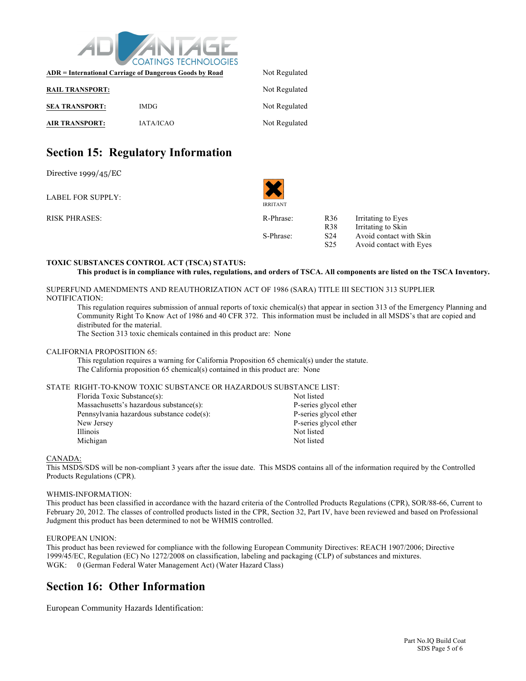

| ADR = International Carriage of Dangerous Goods by Road | Not Regulated    |               |
|---------------------------------------------------------|------------------|---------------|
| <b>RAIL TRANSPORT:</b>                                  |                  | Not Regulated |
| <b>SEA TRANSPORT:</b>                                   | <b>IMDG</b>      | Not Regulated |
| <b>AIR TRANSPORT:</b>                                   | <b>IATA/ICAO</b> | Not Regulated |

### **Section 15: Regulatory Information**

Directive 1999/45/EC

LABEL FOR SUPPLY:

RISK PHRASES: R36 IR-Phrase: R36 IR-Phrase: R36 IR-Phrase: R36 IR-Phrase: R36 IR-Phrase: R36 IR-Phrase: R36 IR-Phrase: R36 IR-Phrase: R36 IR-Phrase: R36 IR-Phrase: R36 IR-Phrase: R36 IR-Phrase: R36 IR-Phrase: R36 IR-Phrase

IRRITANT

| R-Phrase: | R <sub>36</sub> | Irritating to Eyes      |
|-----------|-----------------|-------------------------|
|           | R <sub>38</sub> | Irritating to Skin      |
| S-Phrase: | S <sub>24</sub> | Avoid contact with Skin |
|           | S <sub>25</sub> | Avoid contact with Eyes |

#### **TOXIC SUBSTANCES CONTROL ACT (TSCA) STATUS:**

```
This product is in compliance with rules, regulations, and orders of TSCA. All components are listed on the TSCA Inventory.
```
SUPERFUND AMENDMENTS AND REAUTHORIZATION ACT OF 1986 (SARA) TITLE III SECTION 313 SUPPLIER NOTIFICATION:

This regulation requires submission of annual reports of toxic chemical(s) that appear in section 313 of the Emergency Planning and Community Right To Know Act of 1986 and 40 CFR 372. This information must be included in all MSDS's that are copied and distributed for the material.

The Section 313 toxic chemicals contained in this product are: None

#### CALIFORNIA PROPOSITION 65:

This regulation requires a warning for California Proposition 65 chemical(s) under the statute. The California proposition 65 chemical(s) contained in this product are: None

#### STATE RIGHT-TO-KNOW TOXIC SUBSTANCE OR HAZARDOUS SUBSTANCE LIST:

| Florida Toxic Substance(s):               | Not listed            |
|-------------------------------------------|-----------------------|
| Massachusetts's hazardous substance(s):   | P-series glycol ether |
| Pennsylvania hazardous substance code(s): | P-series glycol ether |
| New Jersey                                | P-series glycol ether |
| <i>Illinois</i>                           | Not listed            |
| Michigan                                  | Not listed            |

#### CANADA:

This MSDS/SDS will be non-compliant 3 years after the issue date. This MSDS contains all of the information required by the Controlled Products Regulations (CPR).

#### WHMIS-INFORMATION:

This product has been classified in accordance with the hazard criteria of the Controlled Products Regulations (CPR), SOR/88-66, Current to February 20, 2012. The classes of controlled products listed in the CPR, Section 32, Part IV, have been reviewed and based on Professional Judgment this product has been determined to not be WHMIS controlled.

#### EUROPEAN UNION:

This product has been reviewed for compliance with the following European Community Directives: REACH 1907/2006; Directive 1999/45/EC, Regulation (EC) No 1272/2008 on classification, labeling and packaging (CLP) of substances and mixtures. WGK: 0 (German Federal Water Management Act) (Water Hazard Class)

### **Section 16: Other Information**

European Community Hazards Identification: